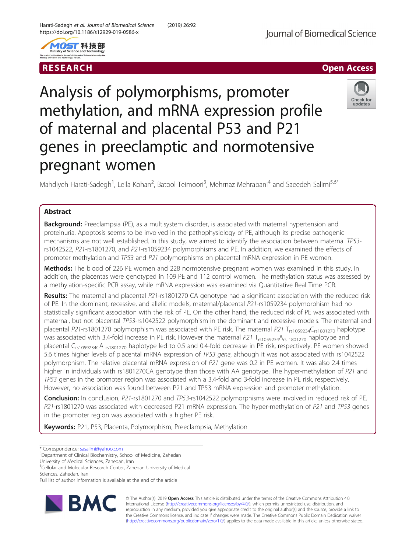

RESEARCH **RESEARCH CHANNEL EXECUTE ACCESS** 

Check for updates

# Analysis of polymorphisms, promoter methylation, and mRNA expression profile of maternal and placental P53 and P21 genes in preeclamptic and normotensive pregnant women

Mahdiyeh Harati-Sadegh<sup>1</sup>, Leila Kohan<sup>2</sup>, Batool Teimoori<sup>3</sup>, Mehrnaz Mehrabani<sup>4</sup> and Saeedeh Salimi<sup>5,6\*</sup>

## Abstract

**Background:** Preeclampsia (PE), as a multisystem disorder, is associated with maternal hypertension and proteinuria. Apoptosis seems to be involved in the pathophysiology of PE, although its precise pathogenic mechanisms are not well established. In this study, we aimed to identify the association between maternal TP53 rs1042522, P21-rs1801270, and P21-rs1059234 polymorphisms and PE. In addition, we examined the effects of promoter methylation and TP53 and P21 polymorphisms on placental mRNA expression in PE women.

Methods: The blood of 226 PE women and 228 normotensive pregnant women was examined in this study. In addition, the placentas were genotyped in 109 PE and 112 control women. The methylation status was assessed by a methylation-specific PCR assay, while mRNA expression was examined via Quantitative Real Time PCR.

Results: The maternal and placental P21-rs1801270 CA genotype had a significant association with the reduced risk of PE. In the dominant, recessive, and allelic models, maternal/placental P21-rs1059234 polymorphism had no statistically significant association with the risk of PE. On the other hand, the reduced risk of PE was associated with maternal, but not placental TP53-rs1042522 polymorphism in the dominant and recessive models. The maternal and placental P21-rs1801270 polymorphism was associated with PE risk. The maternal P21 T<sub>rs1059234</sub>C<sub>rs1801270</sub> haplotype was associated with 3.4-fold increase in PE risk, However the maternal P21  $T_{rs1059234}A_{rs1801270}$  haplotype and placental C<sub>rs1059234C</sub>A <sub>rs1801270</sub> haplotype led to 0.5 and 0.4-fold decrease in PE risk, respectively. PE women showed 5.6 times higher levels of placental mRNA expression of TP53 gene, although it was not associated with rs1042522 polymorphism. The relative placental mRNA expression of P21 gene was 0.2 in PE women. It was also 2.4 times higher in individuals with rs1801270CA genotype than those with AA genotype. The hyper-methylation of P21 and TP53 genes in the promoter region was associated with a 3.4-fold and 3-fold increase in PE risk, respectively. However, no association was found between P21 and TP53 mRNA expression and promoter methylation.

Conclusion: In conclusion, P21-rs1801270 and TP53-rs1042522 polymorphisms were involved in reduced risk of PE. P21-rs1801270 was associated with decreased P21 mRNA expression. The hyper-methylation of P21 and TP53 genes in the promoter region was associated with a higher PE risk.

Keywords: P21, P53, Placenta, Polymorphism, Preeclampsia, Methylation

\* Correspondence: [sasalimi@yahoo.com](mailto:sasalimi@yahoo.com) <sup>5</sup>

Department of Clinical Biochemistry, School of Medicine, Zahedan

University of Medical Sciences, Zahedan, Iran

<sup>6</sup>Cellular and Molecular Research Center, Zahedan University of Medical Sciences, Zahedan, Iran

Full list of author information is available at the end of the article



© The Author(s). 2019 **Open Access** This article is distributed under the terms of the Creative Commons Attribution 4.0 International License [\(http://creativecommons.org/licenses/by/4.0/](http://creativecommons.org/licenses/by/4.0/)), which permits unrestricted use, distribution, and reproduction in any medium, provided you give appropriate credit to the original author(s) and the source, provide a link to the Creative Commons license, and indicate if changes were made. The Creative Commons Public Domain Dedication waiver [\(http://creativecommons.org/publicdomain/zero/1.0/](http://creativecommons.org/publicdomain/zero/1.0/)) applies to the data made available in this article, unless otherwise stated.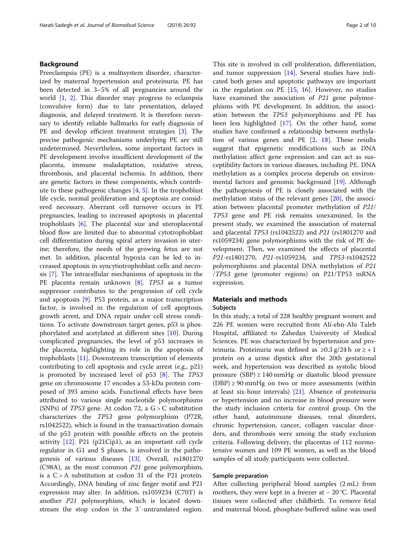## Background

Preeclampsia (PE) is a multisystem disorder, characterized by maternal hypertension and proteinuria. PE has been detected in 3–5% of all pregnancies around the world [\[1](#page-8-0), [2\]](#page-8-0). This disorder may progress to eclampsia (convulsive form) due to late presentation, delayed diagnosis, and delayed treatment. It is therefore necessary to identify reliable hallmarks for early diagnosis of PE and develop efficient treatment strategies [[3\]](#page-8-0). The precise pathogenic mechanisms underlying PE are still undetermined. Nevertheless, some important factors in PE development involve insufficient development of the placenta, immune maladaptation, oxidative stress, thrombosis, and placental ischemia. In addition, there are genetic factors in these components, which contribute to these pathogenic changes [[4](#page-8-0), [5](#page-8-0)]. In the trophoblast life cycle, normal proliferation and apoptosis are considered necessary. Aberrant cell turnover occurs in PE pregnancies, leading to increased apoptosis in placental trophoblasts [\[6](#page-8-0)]. The placental size and uteroplacental blood flow are limited due to abnormal cytotrophoblast cell differentiation during spiral artery invasion in uterine; therefore, the needs of the growing fetus are not met. In addition, placental hypoxia can be led to increased apoptosis in syncytiotrophoblast cells and necrosis [\[7](#page-8-0)]. The intracellular mechanisms of apoptosis in the PE placenta remain unknown [\[8](#page-9-0)]. TP53 as a tumor suppressor contributes to the progression of cell cycle and apoptosis [\[9\]](#page-9-0). P53 protein, as a major transcription factor, is involved in the regulation of cell apoptosis, growth arrest, and DNA repair under cell stress conditions. To activate downstream target genes, p53 is phosphorylated and acetylated at different sites [[10](#page-9-0)]. During complicated pregnancies, the level of p53 increases in the placenta, highlighting its role in the apoptosis of trophoblasts [\[11](#page-9-0)]. Downstream transcription of elements contributing to cell apoptosis and cycle arrest (e.g., p21) is promoted by increased level of p53 [\[8\]](#page-9-0). The TP53 gene on chromosome 17 encodes a 53-kDa protein composed of 393 amino acids. Functional effects have been attributed to various single nucleotide polymorphisms (SNPs) of *TP53* gene. At codon 72, a  $G > C$  substitution characterizes the TP53 gene polymorphism (P72R, rs1042522), which is found in the transactivation domain of the p53 protein with possible effects on the protein activity [\[12](#page-9-0)]. P21 (p21Cip1), as an important cell cycle regulator in G1 and S phases, is involved in the pathogenesis of various diseases [\[13](#page-9-0)]. Overall, rs1801270 (C98A), as the most common P21 gene polymorphism, is a C > A substitution at codon 31 of the P21 protein. Accordingly, DNA binding of zinc finger motif and P21 expression may alter. In addition, rs1059234 (C70T) is another P21 polymorphism, which is located downstream the stop codon in the 3′-untranslated region. This site is involved in cell proliferation, differentiation, and tumor suppression [\[14](#page-9-0)]. Several studies have indicated both genes and apoptotic pathways are important in the regulation on PE [\[15](#page-9-0), [16\]](#page-9-0). However, no studies have examined the association of P21 gene polymorphisms with PE development. In addition, the association between the TP53 polymorphisms and PE has been less highlighted [\[17\]](#page-9-0). On the other hand, some studies have confirmed a relationship between methylation of various genes and PE [[2,](#page-8-0) [18\]](#page-9-0). These results suggest that epigenetic modifications such as DNA methylation affect gene expression and can act as susceptibility factors in various diseases, including PE. DNA methylation as a complex process depends on environmental factors and genomic background [\[19\]](#page-9-0). Although the pathogenesis of PE is closely associated with the methylation status of the relevant genes [\[20](#page-9-0)], the association between placental promoter methylation of P21/ TP53 gene and PE risk remains unexamined. In the present study, we examined the association of maternal and placental TP53 (rs1042522) and P21 (rs1801270 and rs1059234) gene polymorphisms with the risk of PE development. Then, we examined the effects of placental P21-rs1801270, P21-rs1059234, and TP53-rs1042522 polymorphisms and placental DNA methylation of P21 /TP53 gene (promoter regions) on P21/TP53 mRNA expression.

## Materials and methods Subjects

In this study, a total of 228 healthy pregnant women and 226 PE women were recruited from Ali-ebn-Abi Taleb Hospital, affiliated to Zahedan University of Medical Sciences. PE was characterized by hypertension and proteinuria. Proteinuria was defined as ≥0.3 g/24 h or ≥ + 1 protein on a urine dipstick after the 20th gestational week, and hypertension was described as systolic blood pressure (SBP)  $\geq$  140 mmHg or diastolic blood pressure  $(DBP) \geq 90$  mmHg on two or more assessments (within at least six-hour intervals) [[21](#page-9-0)]. Absence of proteinuria or hypertension and no increase in blood pressure were the study inclusion criteria for control group. On the other hand, autoimmune diseases, renal disorders, chronic hypertension, cancer, collagen vascular disorders, and thrombosis were among the study exclusion criteria. Following delivery, the placentas of 112 normotensive women and 109 PE women, as well as the blood samples of all study participants were collected.

#### Sample preparation

After collecting peripheral blood samples (2 mL) from mothers, they were kept in a freezer at − 20 °C. Placental tissues were collected after childbirth. To remove fetal and maternal blood, phosphate-buffered saline was used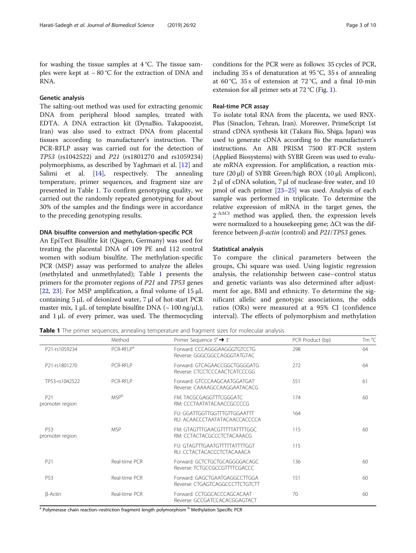for washing the tissue samples at 4 °C. The tissue samples were kept at − 80 °C for the extraction of DNA and RNA.

## Genetic analysis

The salting-out method was used for extracting genomic DNA from peripheral blood samples, treated with EDTA. A DNA extraction kit (DynaBio, Takapoozist, Iran) was also used to extract DNA from placental tissues according to manufacturer's instruction. The PCR-RFLP assay was carried out for the detection of TP53 (rs1042522) and P21 (rs1801270 and rs1059234) polymorphisms, as described by Yaghmaei et al. [\[12](#page-9-0)] and Salimi et al. [\[14\]](#page-9-0), respectively. The annealing temperature, primer sequences, and fragment size are presented in Table 1. To confirm genotyping quality, we carried out the randomly repeated genotyping for about 30% of the samples and the findings were in accordance to the preceding genotyping results.

## DNA bisulfite conversion and methylation-specific PCR

An EpiTect Bisulfite kit (Qiagen, Germany) was used for treating the placental DNA of 109 PE and 112 control women with sodium bisulfite. The methylation-specific PCR (MSP) assay was performed to analyze the alleles (methylated and unmethylated); Table 1 presents the primers for the promoter regions of P21 and TP53 genes [[22,](#page-9-0) [23](#page-9-0)]. For MSP amplification, a final volume of 15 μL containing 5 μL of deionized water, 7 μl of hot-start PCR master mix, 1 μL of template bisulfite DNA ( $\sim 100$  ng/μL), and  $1 \mu$ L of every primer, was used. The thermocycling

conditions for the PCR were as follows: 35 cycles of PCR, including 35 s of denaturation at 95 °C, 35 s of annealing at 60 °C, 35 s of extension at 72 °C, and a final 10-min extension for all primer sets at  $72 \degree C$  (Fig. [1\)](#page-3-0).

### Real-time PCR assay

To isolate total RNA from the placenta, we used RNX-Plus (Sinaclon, Tehran, Iran). Moreover, PrimeScript 1st strand cDNA synthesis kit (Takara Bio, Shiga, Japan) was used to generate cDNA according to the manufacturer's instructions. An ABI PRISM 7500 RT-PCR system (Applied Biosystems) with SYBR Green was used to evaluate mRNA expression. For amplification, a reaction mixture (20 μl) of SYBR Green/high ROX (10 μl; Amplicon), 2 μl of cDNA solution, 7 μl of nuclease-free water, and 10 pmol of each primer [\[23](#page-9-0)–[25](#page-9-0)] was used. Analysis of each sample was performed in triplicate. To determine the relative expression of mRNA in the target genes, the  $2^{-\Delta\Delta Ct}$  method was applied, then, the expression levels were normalized to a housekeeping gene; ΔCt was the difference between β-actin (control) and P21/TP53 genes.

#### Statistical analysis

To compare the clinical parameters between the groups, Chi square was used. Using logistic regression analysis, the relationship between case–control status and genetic variants was also determined after adjustment for age, BMI and ethnicity. To determine the significant allelic and genotypic associations, the odds ratios (ORs) were measured at a 95% CI (confidence interval). The effects of polymorphism and methylation

Table 1 The primer sequences, annealing temperature and fragment sizes for molecular analysis

|                                    | Method                  | Primer Sequence $5' \rightarrow 3'$                              | PCR Product (bp) | Tm °C |
|------------------------------------|-------------------------|------------------------------------------------------------------|------------------|-------|
| P21-rs1059234                      | PCR-RFLP <sup>a</sup>   | Forward: CCCAGGGAAGGGTGTCCTG<br>Reverse: GGGCGGCCAGGGTATGTAC     | 298              | 64    |
| P21-rs1801270                      | PCR-RFLP                | Forward: GTCAGAACCGGCTGGGGATG<br>Reverse: CTCCTCCCAACTCATCCCGG   | 272              | 64    |
| TP53-rs1042522                     | PCR-RFLP                | Forward: GTCCCAAGCAATGGATGAT<br>Reverse: CAAAAGCCAAGGAATACACG    | 551              | 61    |
| P21<br>promoter region             | <b>MSP</b> <sup>b</sup> | FM: TACGCGAGGTTTCGGGATC<br>RM: CCCTAATATACAACCGCCCCG             | 174              | 60    |
|                                    |                         | FU: GGATTGGTTGGTTTGTTGGAATTT<br>RU: ACAACCCTAATATACAACCACCCCA    | 164              |       |
| P <sub>53</sub><br>promoter region | <b>MSP</b>              | FM: GTAGTTTGAACGTTTTTATTTTGGC<br>RM: CCTACTACGCCCTCTACAAACG      | 115              | 60    |
|                                    |                         | FU: GTAGTTTGAATGTTTTTATTTGGT<br>RU: CCTACTACACCCTCTACAAACA       | 115              |       |
| P21                                | Real-time PCR           | Forward: GCTCTGCTGCAGGGGACAGC<br>Reverse: TCTGCCGCCGTTTTCGACCC   | 136              | 60    |
| P <sub>53</sub>                    | Real-time PCR           | Forward: GAGCTGAATGAGGCCTTGGA<br>Reverse: CTGAGTCAGGCCCTTCTGTCTT | 151              | 60    |
| β-Actin                            | Real-time PCR           | Forward: CCTGGCACCCAGCACAAT<br>Reverse: GCCGATCCACACGGAGTACT     | 70               | 60    |

<sup>a</sup> Polymerase chain reaction–restriction fragment length polymorphism <sup>b</sup> Methylation Specific PCR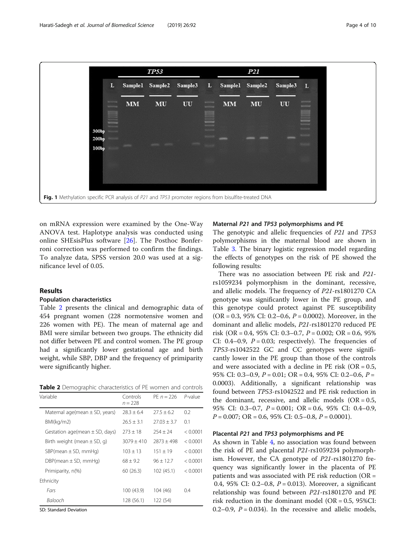<span id="page-3-0"></span>

on mRNA expression were examined by the One-Way ANOVA test. Haplotype analysis was conducted using online SHEsisPlus software [[26\]](#page-9-0). The Posthoc Bonferroni correction was performed to confirm the findings. To analyze data, SPSS version 20.0 was used at a significance level of 0.05.

## Results

#### Population characteristics

Table 2 presents the clinical and demographic data of 454 pregnant women (228 normotensive women and 226 women with PE). The mean of maternal age and BMI were similar between two groups. The ethnicity did not differ between PE and control women. The PE group had a significantly lower gestational age and birth weight, while SBP, DBP and the frequency of primiparity were significantly higher.

Table 2 Demographic characteristics of PE women and controls

| Variable                           | Controls<br>$n = 228$ | $PF n = 226$    | $P$ -value |
|------------------------------------|-----------------------|-----------------|------------|
| Maternal age(mean $\pm$ SD, years) | $78.3 + 6.4$          | $27.5 + 6.2$    | 0.2        |
| BMl(kq/m2)                         | $26.5 + 3.1$          | $27.03 \pm 3.7$ | 0.1        |
| Gestation age(mean $\pm$ SD, days) | $273 + 18$            | $254 + 24$      | < 0.0001   |
| Birth weight (mean $\pm$ SD, g)    | $3079 + 410$          | $7873 + 498$    | < 0.0001   |
| $SBP$ (mean $\pm$ SD, mmHg)        | $103 \pm 13$          | $151 + 19$      | < 0.0001   |
| $DBP$ (mean $\pm$ SD, mmHg)        | $68 + 9.2$            | $96 + 12.7$     | < 0.0001   |
| Primiparity, n(%)                  | 60(26.3)              | 102 (45.1)      | < 0.0001   |
| Ethnicity                          |                       |                 |            |
| Fars                               | 100 (43.9)            | 104 (46)        | 0.4        |
| Balooch                            | 128 (56.1)            | 122 (54)        |            |

SD: Standard Deviation

#### Maternal P21 and TP53 polymorphisms and PE

The genotypic and allelic frequencies of P21 and TP53 polymorphisms in the maternal blood are shown in Table [3.](#page-4-0) The binary logistic regression model regarding the effects of genotypes on the risk of PE showed the following results:

There was no association between PE risk and P21 rs1059234 polymorphism in the dominant, recessive, and allelic models. The frequency of P21-rs1801270 CA genotype was significantly lower in the PE group, and this genotype could protect against PE susceptibility (OR = 0.3, 95% CI: 0.2–0.6,  $P = 0.0002$ ). Moreover, in the dominant and allelic models, P21-rs1801270 reduced PE risk (OR = 0.4, 95% CI: 0.3–0.7,  $P = 0.002$ ; OR = 0.6, 95% CI: 0.4–0.9,  $P = 0.03$ ; respectively). The frequencies of TP53-rs1042522 GC and CC genotypes were significantly lower in the PE group than those of the controls and were associated with a decline in PE risk ( $OR = 0.5$ , 95% CI: 0.3–0.9,  $P = 0.01$ ; OR = 0.4, 95% CI: 0.2–0.6,  $P =$ 0.0003). Additionally, a significant relationship was found between TP53-rs1042522 and PE risk reduction in the dominant, recessive, and allelic models  $(OR = 0.5,$ 95% CI: 0.3–0.7, P = 0.001; OR = 0.6, 95% CI: 0.4–0.9,  $P = 0.007$ ; OR = 0.6, 95% CI: 0.5–0.8,  $P = 0.0001$ ).

## Placental P21 and TP53 polymorphisms and PE

As shown in Table [4](#page-5-0), no association was found between the risk of PE and placental P21-rs1059234 polymorphism. However, the CA genotype of P21-rs1801270 frequency was significantly lower in the placenta of PE patients and was associated with PE risk reduction (OR = 0.4, 95% CI: 0.2–0.8,  $P = 0.013$ ). Moreover, a significant relationship was found between P21-rs1801270 and PE risk reduction in the dominant model (OR =  $0.5$ , 95%CI: 0.2–0.9,  $P = 0.034$ ). In the recessive and allelic models,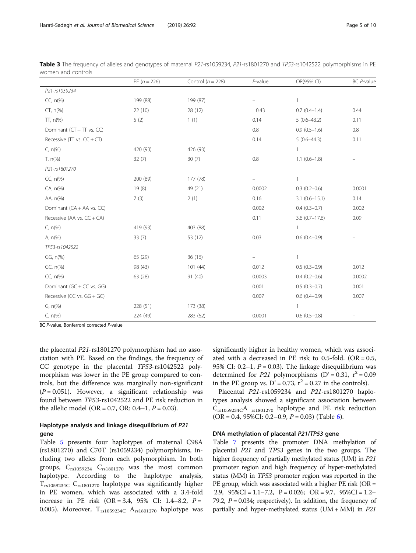|                                  | PE $(n = 226)$ | Control ( $n = 228$ ) | $P$ -value               | OR(95% CI)        | BC P-value                     |
|----------------------------------|----------------|-----------------------|--------------------------|-------------------|--------------------------------|
| P21-rs1059234                    |                |                       |                          |                   |                                |
| $CC, n(\%)$                      | 199 (88)       | 199 (87)              | $\overline{\phantom{0}}$ | $\mathbf{1}$      |                                |
| $CT, n(\%)$                      | 22(10)         | 28(12)                | 0.43                     | $0.7(0.4-1.4)$    | 0.44                           |
| $TT, n(\%)$                      | 5(2)           | 1(1)                  | 0.14                     | $5(0.6-43.2)$     | 0.11                           |
| Dominant (CT + TT vs. CC)        |                |                       | 0.8                      | $0.9(0.5-1.6)$    | 0.8                            |
| Recessive ( $TT$ vs. $CC + CT$ ) |                |                       | 0.14                     | $5(0.6-44.3)$     | 0.11                           |
| $C, n(\%)$                       | 420 (93)       | 426 (93)              |                          | 1                 |                                |
| $T, n$ (%)                       | 32(7)          | 30(7)                 | 0.8                      | $1.1(0.6-1.8)$    | $\qquad \qquad \longleftarrow$ |
| P21-rs1801270                    |                |                       |                          |                   |                                |
| $CC, n(\%)$                      | 200 (89)       | 177 (78)              | $\equiv$                 | $\mathbf{1}$      |                                |
| CA, n(%)                         | 19(8)          | 49 (21)               | 0.0002                   | $0.3(0.2-0.6)$    | 0.0001                         |
| AA, n(%)                         | 7(3)           | 2(1)                  | 0.16                     | $3.1(0.6 - 15.1)$ | 0.14                           |
| Dominant (CA + AA vs. CC)        |                |                       | 0.002                    | $0.4(0.3-0.7)$    | 0.002                          |
| Recessive (AA vs. $CC + CA$ )    |                |                       | 0.11                     | $3.6(0.7-17.6)$   | 0.09                           |
| $C, n$ (%)                       | 419 (93)       | 403 (88)              |                          | $\mathbf{1}$      |                                |
| A, $n\frac{9}{6}$                | 33(7)          | 53 (12)               | 0.03                     | $0.6(0.4-0.9)$    | $\overline{\phantom{m}}$       |
| TP53-rs1042522                   |                |                       |                          |                   |                                |
| GG, n(%)                         | 65 (29)        | 36(16)                |                          | 1                 |                                |
| GC, n(%)                         | 98 (43)        | 101(44)               | 0.012                    | $0.5(0.3-0.9)$    | 0.012                          |
| $CC, n(\%)$                      | 63 (28)        | 91(40)                | 0.0003                   | $0.4(0.2-0.6)$    | 0.0002                         |
| Dominant (GC + CC vs. GG)        |                |                       | 0.001                    | $0.5(0.3-0.7)$    | 0.001                          |
| Recessive (CC vs. $GG + GC$ )    |                |                       | 0.007                    | $0.6(0.4-0.9)$    | 0.007                          |
| $G, n(\%)$                       | 228 (51)       | 173 (38)              |                          | $\mathbf{1}$      |                                |
| $C, n(\%)$                       | 224 (49)       | 283 (62)              | 0.0001                   | $0.6(0.5-0.8)$    | $\qquad \qquad \longleftarrow$ |

<span id="page-4-0"></span>Table 3 The frequency of alleles and genotypes of maternal P21-rs1059234, P21-rs1801270 and TP53-rs1042522 polymorphisms in PE women and controls

BC P-value, Bonferroni corrected P-value

the placental P21-rs1801270 polymorphism had no association with PE. Based on the findings, the frequency of CC genotype in the placental TP53-rs1042522 polymorphism was lower in the PE group compared to controls, but the difference was marginally non-significant  $(P = 0.051)$ . However, a significant relationship was found between TP53-rs1042522 and PE risk reduction in the allelic model (OR = 0.7, OR: 0.4–1,  $P = 0.03$ ).

## Haplotype analysis and linkage disequilibrium of P21 gene

Table [5](#page-5-0) presents four haplotypes of maternal C98A (rs1801270) and C70T (rs1059234) polymorphisms, including two alleles from each polymorphism. In both groups,  $C_{rs1059234}$   $C_{rs1801270}$  was the most common haplotype. According to the haplotype analysis,  $T_{rs1059234C}$   $C_{rs1801270}$  haplotype was significantly higher in PE women, which was associated with a 3.4-fold increase in PE risk (OR = 3.4, 95% CI: 1.4–8.2,  $P =$ 0.005). Moreover,  $T_{rs1059234C}$   $A_{rs1801270}$  haplotype was

significantly higher in healthy women, which was associated with a decreased in PE risk to 0.5-fold. (OR =  $0.5$ , 95% CI: 0.2–1,  $P = 0.03$ ). The linkage disequilibrium was determined for P21 polymorphisms (D' = 0.31,  $r^2$  = 0.09 in the PE group vs.  $D' = 0.73$ ,  $r^2 = 0.27$  in the controls).

Placental P21-rs1059234 and P21-rs1801270 haplotypes analysis showed a significant association between Crs1059234CA rs1801270 haplotype and PE risk reduction  $(OR = 0.4, 95\% CI: 0.2–0.9, P = 0.03)$  (Table [6](#page-5-0)).

## DNA methylation of placental P21/TP53 gene

Table [7](#page-6-0) presents the promoter DNA methylation of placental P21 and TP53 genes in the two groups. The higher frequency of partially methylated status (UM) in P21 promoter region and high frequency of hyper-methylated status (MM) in TP53 promoter region was reported in the PE group, which was associated with a higher PE risk (OR = 2.9, 95%CI = 1.1–7.2, P = 0.026; OR = 9.7, 95%CI = 1.2– 79.2,  $P = 0.034$ ; respectively). In addition, the frequency of partially and hyper-methylated status  $(UM + MM)$  in P21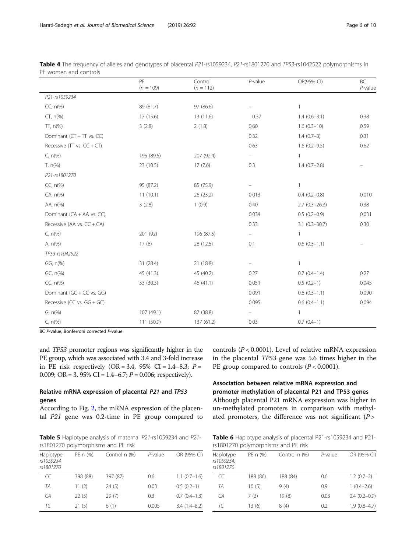|                                  | PE<br>$(n = 109)$ | Control<br>$(n = 112)$ | $P$ -value                     | OR(95% CI)        | <b>BC</b><br>$P$ -value |
|----------------------------------|-------------------|------------------------|--------------------------------|-------------------|-------------------------|
| P21-rs1059234                    |                   |                        |                                |                   |                         |
| $CC, n(\%)$                      | 89 (81.7)         | 97 (86.6)              |                                | $\mathbf{1}$      |                         |
| $CT, n(\%)$                      | 17 (15.6)         | 13 (11.6)              | 0.37                           | $1.4(0.6-3.1)$    | 0.38                    |
| $TT, n(\%)$                      | 3(2.8)            | 2(1.8)                 | 0.60                           | $1.6(0.3-10)$     | 0.59                    |
| Dominant (CT + TT vs. CC)        |                   |                        | 0.32                           | $1.4(0.7-3)$      | 0.31                    |
| Recessive ( $TT$ vs. $CC + CT$ ) |                   |                        | 0.63                           | $1.6(0.2 - 9.5)$  | 0.62                    |
| $C, n$ (%)                       | 195 (89.5)        | 207 (92.4)             | $\overline{\phantom{a}}$       | $\mathbf{1}$      |                         |
| $T, n(\%)$                       | 23 (10.5)         | 17(7.6)                | 0.3                            | $1.4(0.7-2.8)$    |                         |
| P21-rs1801270                    |                   |                        |                                |                   |                         |
| $CC, n(\%)$                      | 95 (87.2)         | 85 (75.9)              | $\qquad \qquad \longleftarrow$ | $\mathbf{1}$      |                         |
| $CA, n(\%)$                      | 11(10.1)          | 26 (23.2)              | 0.013                          | $0.4(0.2 - 0.8)$  | 0.010                   |
| AA, n(%)                         | 3(2.8)            | 1(0.9)                 | 0.40                           | $2.7(0.3-26.3)$   | 0.38                    |
| Dominant (CA + AA vs. CC)        |                   |                        | 0.034                          | $0.5(0.2-0.9)$    | 0.031                   |
| Recessive (AA vs. $CC + CA$ )    |                   |                        | 0.33                           | $3.1(0.3 - 30.7)$ | 0.30                    |
| $C, n$ (%)                       | 201 (92)          | 196 (87.5)             | $\overline{\phantom{a}}$       | $\mathbf{1}$      |                         |
| A, n(% )                         | 17(8)             | 28 (12.5)              | 0.1                            | $0.6(0.3-1.1)$    |                         |
| TP53-rs1042522                   |                   |                        |                                |                   |                         |
| GG, n(%)                         | 31 (28.4)         | 21 (18.8)              |                                | $\mathbf{1}$      |                         |
| $GC, n(\%)$                      | 45 (41.3)         | 45 (40.2)              | 0.27                           | $0.7(0.4-1.4)$    | 0.27                    |
| $CC, n(\%)$                      | 33 (30.3)         | 46(41.1)               | 0.051                          | $0.5(0.2-1)$      | 0.045                   |
| Dominant (GC + CC vs. GG)        |                   |                        | 0.091                          | $0.6(0.3-1.1)$    | 0.090                   |
| Recessive (CC vs. $GG + GC$ )    |                   |                        | 0.095                          | $0.6(0.4-1.1)$    | 0.094                   |
| $G, n(\%)$                       | 107 (49.1)        | 87 (38.8)              | $\overline{\phantom{m}}$       | $\mathbf{1}$      |                         |
| $C, n$ (%)                       | 111 (50.9)        | 137 (61.2)             | 0.03                           | $0.7(0.4-1)$      |                         |

<span id="page-5-0"></span>

| Table 4 The frequency of alleles and genotypes of placental P21-rs1059234, P21-rs1801270 and TP53-rs1042522 polymorphisms in |  |  |  |
|------------------------------------------------------------------------------------------------------------------------------|--|--|--|
| PE women and controls                                                                                                        |  |  |  |

BC P-value, Bonferroni corrected P-value

and TP53 promoter regions was significantly higher in the PE group, which was associated with 3.4 and 3-fold increase in PE risk respectively  $(OR = 3.4, 95\% \text{ CI} = 1.4-8.3; P =$ 0.009; OR = 3, 95% CI = 1.4–6.7;  $P = 0.006$ ; respectively).

## Relative mRNA expression of placental P21 and TP53 genes

According to Fig. [2,](#page-6-0) the mRNA expression of the placental P21 gene was 0.2-time in PE group compared to

Table 5 Haplotype analysis of maternal P21-rs1059234 and P21rs1801270 polymorphisms and PE risk

| Haplotype<br>rs1059234<br>rs1801270 | PE n (%) | Control n (%) | $P$ -value | OR (95% CI)      |
|-------------------------------------|----------|---------------|------------|------------------|
| CC                                  | 398 (88) | 397 (87)      | 0.6        | $1.1(0.7-1.6)$   |
| TA                                  | 11(2)    | 24(5)         | 0.03       | $0.5(0.2-1)$     |
| CA                                  | 22(5)    | 29(7)         | 0.3        | $0.7(0.4-1.3)$   |
| ТC                                  | 21(5)    | 6(1)          | 0.005      | $3.4(1.4 - 8.2)$ |

controls ( $P < 0.0001$ ). Level of relative mRNA expression in the placental TP53 gene was 5.6 times higher in the PE group compared to controls  $(P < 0.0001)$ .

Association between relative mRNA expression and promoter methylation of placental P21 and TP53 genes Although placental P21 mRNA expression was higher in un-methylated promoters in comparison with methylated promoters, the difference was not significant  $(P >$ 

Table 6 Haplotype analysis of placental P21-rs1059234 and P21rs1801270 polymorphisms and PE risk

| Haplotype<br>rs1059234,<br>rs1801270 | PE n (%) | Control n (%) | $P$ -value | OR (95% CI)    |
|--------------------------------------|----------|---------------|------------|----------------|
| CC                                   | 188 (86) | 188 (84)      | 0.6        | $1.2(0.7-2)$   |
| TA                                   | 10(5)    | 9(4)          | 0.9        | $1(0.4-2.6)$   |
| СA                                   | 7(3)     | 19(8)         | 0.03       | $0.4(0.2-0.9)$ |
| ТC                                   | 13(6)    | 8(4)          | 0.2        | $1.9(0.8-4.7)$ |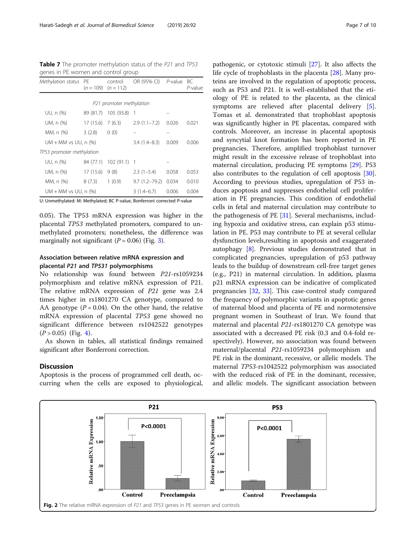<span id="page-6-0"></span>Table 7 The promoter methylation status of the P21 and TP53 genes in PE women and control group

| Methylation status           | -PF                                                                       | control<br>$(n = 109)$ $(n = 112)$ | OR (95% CI)       | $P$ -value | BC<br>P-value |  |  |
|------------------------------|---------------------------------------------------------------------------|------------------------------------|-------------------|------------|---------------|--|--|
|                              |                                                                           |                                    |                   |            |               |  |  |
|                              |                                                                           | P21 promoter methylation           |                   |            |               |  |  |
| UU, n (%)                    |                                                                           | 89 (81.7) 105 (93.8)               | -1                |            |               |  |  |
| UM, n (%)                    | $17(15.6)$ 7 (6.3)                                                        |                                    | $2.9(1.1 - 7.2)$  | 0.026      | 0.021         |  |  |
| MM, n (%)                    | 3(2.8)                                                                    | 0(0)                               |                   |            |               |  |  |
| $UM + MM$ vs $UU$ , n $(\%)$ |                                                                           |                                    | $3.4(1.4 - 8.3)$  | 0.009      | 0.006         |  |  |
| TP53 promoter methylation    |                                                                           |                                    |                   |            |               |  |  |
| UU, n (%)                    | 84 (77.1)                                                                 | $102(91.1)$ 1                      |                   |            |               |  |  |
| UM, n (%)                    | 17(15.6)                                                                  | 9(8)                               | $2.3(1-5.4)$      | 0.058      | 0.053         |  |  |
| MM, n (%)                    | 8(7.3)                                                                    | 1(0.9)                             | $9.7(1.2 - 79.2)$ | 0.034      | 0.010         |  |  |
| $UM + MM$ vs UU, n $(\%)$    |                                                                           |                                    | $3(1.4-6.7)$      | 0.006      | 0.004         |  |  |
|                              | LL Llnmethylated: M: Methylated: RC Payalue, Ronferroni corrected Payalue |                                    |                   |            |               |  |  |

U: Unmethylated: M: Methylated; BC P-value, Bonferroni corrected P-value

0.05). The TP53 mRNA expression was higher in the placental TP53 methylated promoters, compared to unmethylated promoters; nonetheless, the difference was marginally not significant ( $P = 0.06$ ) (Fig. [3\)](#page-7-0).

## Association between relative mRNA expression and placental P21 and TP531 polymorphisms

No relationship was found between P21-rs1059234 polymorphism and relative mRNA expression of P21. The relative mRNA expression of P21 gene was 2.4 times higher in rs1801270 CA genotype, compared to AA genotype ( $P = 0.04$ ). On the other hand, the relative mRNA expression of placental TP53 gene showed no significant difference between rs1042522 genotypes  $(P > 0.05)$  (Fig. [4](#page-7-0)).

As shown in tables, all statistical findings remained significant after Bonferroni correction.

## **Discussion**

Apoptosis is the process of programmed cell death, occurring when the cells are exposed to physiological, pathogenic, or cytotoxic stimuli [[27](#page-9-0)]. It also affects the life cycle of trophoblasts in the placenta [\[28\]](#page-9-0). Many proteins are involved in the regulation of apoptotic process, such as P53 and P21. It is well-established that the etiology of PE is related to the placenta, as the clinical symptoms are relieved after placental delivery [\[5](#page-8-0)]. Tomas et al. demonstrated that trophoblast apoptosis was significantly higher in PE placentas, compared with controls. Moreover, an increase in placental apoptosis and syncytial knot formation has been reported in PE pregnancies. Therefore, amplified trophoblast turnover might result in the excessive release of trophoblast into maternal circulation, producing PE symptoms [\[29\]](#page-9-0). P53 also contributes to the regulation of cell apoptosis [\[30](#page-9-0)]. According to previous studies, upregulation of P53 induces apoptosis and suppresses endothelial cell proliferation in PE pregnancies. This condition of endothelial cells in fetal and maternal circulation may contribute to the pathogenesis of PE [[31\]](#page-9-0). Several mechanisms, including hypoxia and oxidative stress, can explain p53 stimulation in PE. P53 may contribute to PE at several cellular dysfunction levels,resulting in apoptosis and exaggerated autophagy [[8\]](#page-9-0). Previous studies demonstrated that in complicated pregnancies, upregulation of p53 pathway leads to the buildup of downstream cell-free target genes (e.g., P21) in maternal circulation. In addition, plasma p21 mRNA expression can be indicative of complicated pregnancies [\[32](#page-9-0), [33](#page-9-0)]. This case-control study compared the frequency of polymorphic variants in apoptotic genes of maternal blood and placenta of PE and normotensive pregnant women in Southeast of Iran. We found that maternal and placental P21-rs1801270 CA genotype was associated with a decreased PE risk (0.3 and 0.4-fold respectively). However, no association was found between maternal/placental P21-rs1059234 polymorphism and PE risk in the dominant, recessive, or allelic models. The maternal TP53-rs1042522 polymorphism was associated with the reduced risk of PE in the dominant, recessive, and allelic models. The significant association between

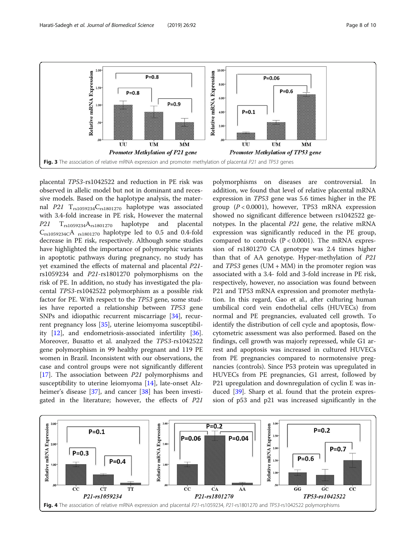<span id="page-7-0"></span>

placental TP53-rs1042522 and reduction in PE risk was observed in allelic model but not in dominant and recessive models. Based on the haplotype analysis, the maternal  $P21$  T<sub>rs1059234</sub>C<sub>rs1801270</sub> haplotype was associated with 3.4-fold increase in PE risk, However the maternal  $P21$  T<sub>rs1059234</sub>A<sub>rs1801270</sub> haplotype and placental Crs1059234CA rs1801270 haplotype led to 0.5 and 0.4-fold decrease in PE risk, respectively. Although some studies have highlighted the importance of polymorphic variants in apoptotic pathways during pregnancy, no study has yet examined the effects of maternal and placental P21 rs1059234 and P21-rs1801270 polymorphisms on the risk of PE. In addition, no study has investigated the placental TP53-rs1042522 polymorphism as a possible risk factor for PE. With respect to the TP53 gene, some studies have reported a relationship between TP53 gene SNPs and idiopathic recurrent miscarriage [[34](#page-9-0)], recurrent pregnancy loss [\[35](#page-9-0)], uterine leiomyoma susceptibility [\[12](#page-9-0)], and endometriosis-associated infertility [\[36](#page-9-0)]. Moreover, Busatto et al. analyzed the TP53-rs1042522 gene polymorphism in 99 healthy pregnant and 119 PE women in Brazil. Inconsistent with our observations, the case and control groups were not significantly different [[17\]](#page-9-0). The association between P21 polymorphisms and susceptibility to uterine leiomyoma [\[14](#page-9-0)], late-onset Alz-heimer's disease [[37](#page-9-0)], and cancer [[38\]](#page-9-0) has been investigated in the literature; however, the effects of P21

polymorphisms on diseases are controversial. In addition, we found that level of relative placental mRNA expression in TP53 gene was 5.6 times higher in the PE group  $(P < 0.0001)$ , however, TP53 mRNA expression showed no significant difference between rs1042522 genotypes. In the placental P21 gene, the relative mRNA expression was significantly reduced in the PE group, compared to controls  $(P < 0.0001)$ . The mRNA expression of rs1801270 CA genotype was 2.4 times higher than that of AA genotype. Hyper-methylation of P21 and  $TP53$  genes (UM + MM) in the promoter region was associated with a 3.4- fold and 3-fold increase in PE risk, respectively, however, no association was found between P21 and TP53 mRNA expression and promoter methylation. In this regard, Gao et al., after culturing human umbilical cord vein endothelial cells (HUVECs) from normal and PE pregnancies, evaluated cell growth. To identify the distribution of cell cycle and apoptosis, flowcytometric assessment was also performed. Based on the findings, cell growth was majorly repressed, while G1 arrest and apoptosis was increased in cultured HUVECs from PE pregnancies compared to normotensive pregnancies (controls). Since P53 protein was upregulated in HUVECs from PE pregnancies, G1 arrest, followed by P21 upregulation and downregulation of cyclin E was induced [[39\]](#page-9-0). Sharp et al. found that the protein expression of p53 and p21 was increased significantly in the

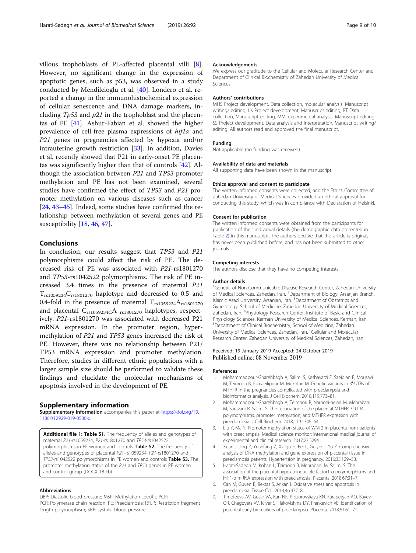<span id="page-8-0"></span>villous trophoblasts of PE-affected placental villi [\[8](#page-9-0)]. However, no significant change in the expression of apoptotic genes, such as p53, was observed in a study conducted by Mendilcioglu et al. [\[40](#page-9-0)]. Londero et al. reported a change in the immunohistochemical expression of cellular senescence and DNA damage markers, including  $Tp53$  and  $p21$  in the trophoblast and the placentas of PE [[41\]](#page-9-0). Ashur-Fabian et al. showed the higher prevalence of cell-free plasma expressions of  $hif1\alpha$  and P21 genes in pregnancies affected by hypoxia and/or intrauterine growth restriction [\[33](#page-9-0)]. In addition, Davies et al. recently showed that P21 in early-onset PE placentas was significantly higher than that of controls [\[42](#page-9-0)]. Although the association between P21 and TP53 promoter methylation and PE has not been examined, several studies have confirmed the effect of TP53 and P21 promoter methylation on various diseases such as cancer [[24,](#page-9-0) [43](#page-9-0)–[45](#page-9-0)]. Indeed, some studies have confirmed the relationship between methylation of several genes and PE susceptibility [[18,](#page-9-0) [46](#page-9-0), [47](#page-9-0)].

## Conclusions

In conclusion, our results suggest that TP53 and P21 polymorphisms could affect the risk of PE. The decreased risk of PE was associated with P21-rs1801270 and TP53-rs1042522 polymorphisms. The risk of PE increased 3.4 times in the presence of maternal P21  $T_{rs1059234}C_{rs1801270}$  haplotype and decreased to 0.5 and 0.4-fold in the presence of maternal  $T_{rs1059234}A_{rs1801270}$ and placental  $C_{rs1059234C}A_{rs1801270}$  haplotypes, respectively. P21-rs1801270 was associated with decreased P21 mRNA expression. In the promoter region, hypermethylation of P21 and TP53 genes increased the risk of PE. However, there was no relationship between P21/ TP53 mRNA expression and promoter methylation. Therefore, studies in different ethnic populations with a larger sample size should be performed to validate these findings and elucidate the molecular mechanisms of apoptosis involved in the development of PE.

#### Supplementary information

Supplementary information accompanies this paper at [https://doi.org/10.](https://doi.org/10.1186/s12929-019-0586-x) [1186/s12929-019-0586-x](https://doi.org/10.1186/s12929-019-0586-x).

Additional file 1: Table S1. The frequency of alleles and genotypes of maternal *P21-*rs1059234, *P21-*rs1801270 and TP53-rs1042522<br>polymorphisms in PE women and controls **Table S2.** The frequency of alleles and genotypes of placental P21-rs1059234, P21-rs1801270 and TP53-rs1042522 polymorphisms in PE women and controls Table S3. The promoter methylation status of the P21 and TP53 genes in PE women and control group (DOCX 18 kb)

#### Abbreviations

DBP: Diastolic blood pressure; MSP: Methylation specific PCR;

PCR: Polymerase chain reaction; PE: Preeclampsia; RFLP: Restriction fragment length polymorphism; SBP: systolic blood pressure

#### Acknowledgements

We express our gratitude to the Cellular and Molecular Research Center and Department of Clinical Biochemistry of Zahedan University of Medical Sciences.

#### Authors' contributions

MHS Project development, Data collection, molecular analysis, Manuscript writing/ editing, LK Project development, Manuscript editing, BT Data collection, Manuscript editing, MM, experimental analysis, Manuscript editing, SS Project development, Data analysis and interpretation, Manuscript writing/ editing. All authors read and approved the final manuscript.

#### Funding

Not applicable (no funding was received).

#### Availability of data and materials

All supporting data have been shown in the manuscript.

#### Ethics approval and consent to participate

The written informed consents were collected, and the Ethics Committee of Zahedan University of Medical Sciences provided an ethical approval for conducting this study, which was in compliance with Declaration of Helsinki.

#### Consent for publication

The written informed consents were obtained from the participants for publication of their individual details (the demographic data presented in Table [2\)](#page-3-0) in this manuscript. The authors declare that this article is original, has never been published before, and has not been submitted to other journals.

#### Competing interests

The authors disclose that they have no competing interests.

#### Author details

<sup>1</sup>Genetic of Non-Communicable Disease Research Center, Zahedan University of Medical Sciences, Zahedan, Iran. <sup>2</sup>Department of Biology, Arsanjan Branch Islamic Azad University, Arsanjan, Iran. <sup>3</sup>Department of Obstetrics and Gynecology, School of Medicine, Zahedan University of Medical Sciences, Zahedan, Iran. <sup>4</sup>Physiology Research Center, Institute of Basic and Clinical Physiology Sciences, Kerman University of Medical Sciences, Kerman, Iran. 5 Department of Clinical Biochemistry, School of Medicine, Zahedan University of Medical Sciences, Zahedan, Iran. <sup>6</sup>Cellular and Molecular Research Center, Zahedan University of Medical Sciences, Zahedan, Iran.

#### Received: 19 January 2019 Accepted: 24 October 2019 Published online: 08 November 2019

#### References

- 1. Mohammadpour-Gharehbagh A, Salimi S, Keshavarzi F, Saeidian F, Mousavi M, Teimoori B, Esmaeilipour M, Mokhtari M. Genetic variants in 3′-UTRs of MTHFR in the pregnancies complicated with preeclampsia and bioinformatics analysis. J Cell Biochem. 2018;119:773–81.
- 2. Mohammadpour-Gharehbagh A, Teimoori B, Narooei-nejad M, Mehrabani M, Saravani R, Salimi S. The association of the placental MTHFR 3′-UTR polymorphisms, promoter methylation, and MTHFR expression with preeclampsia. J Cell Biochem. 2018;119:1346–54.
- 3. Liu Y, Ma Y. Promoter methylation status of WNT2 in placenta from patients with preeclampsia. Medical science monitor: international medical journal of experimental and clinical research. 2017;23:5294.
- 4. Xuan J, Jing Z, Yuanfang Z, Xiaoju H, Pei L, Guiyin J, Yu Z. Comprehensive analysis of DNA methylation and gene expression of placental tissue in preeclampsia patients. Hypertension in pregnancy. 2016;35:129–38.
- 5. Harati-Sadegh M, Kohan L, Teimoori B, Mehrabani M, Salimi S. The association of the placental hypoxia-inducible factor1-α polymorphisms and HIF1-α mRNA expression with preeclampsia. Placenta. 2018;67:31–7.
- 6. Can M, Guven B, Bektas S, Arikan I. Oxidative stress and apoptosis in preeclampsia. Tissue Cell. 2014;46:477–81.
- 7. Timofeeva AV, Gusar VA, Kan NE, Prozorovskaya KN, Karapetyan AO, Bayev OR, Chagovets VV, Kliver SF, Iakovishina DY, Frankevich VE. Identification of potential early biomarkers of preeclampsia. Placenta. 2018;61:61–71.